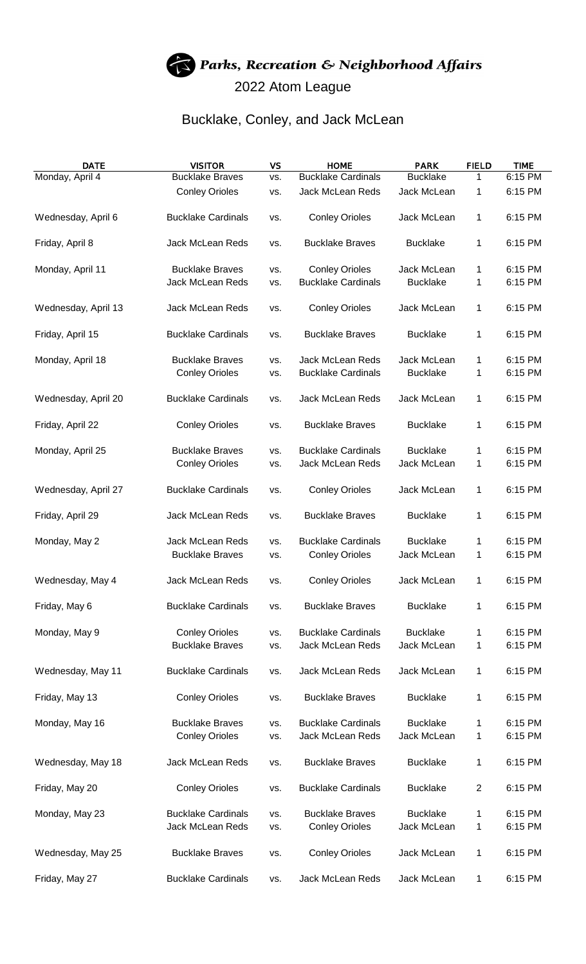## Parks, Recreation & Neighborhood Affairs 2022 Atom League

## Bucklake, Conley, and Jack McLean

| <b>DATE</b>         | <b>VISITOR</b>            | <b>VS</b> | <b>HOME</b>               | <b>PARK</b>     | <b>FIELD</b>   | <b>TIME</b> |
|---------------------|---------------------------|-----------|---------------------------|-----------------|----------------|-------------|
| Monday, April 4     | <b>Bucklake Braves</b>    | VS.       | <b>Bucklake Cardinals</b> | <b>Bucklake</b> | 1              | 6:15 PM     |
|                     | <b>Conley Orioles</b>     | VS.       | Jack McLean Reds          | Jack McLean     | 1              | 6:15 PM     |
| Wednesday, April 6  | <b>Bucklake Cardinals</b> | VS.       | <b>Conley Orioles</b>     | Jack McLean     | 1              | 6:15 PM     |
| Friday, April 8     | Jack McLean Reds          | VS.       | <b>Bucklake Braves</b>    | <b>Bucklake</b> | 1              | 6:15 PM     |
| Monday, April 11    | <b>Bucklake Braves</b>    | VS.       | <b>Conley Orioles</b>     | Jack McLean     | 1              | 6:15 PM     |
|                     | <b>Jack McLean Reds</b>   | VS.       | <b>Bucklake Cardinals</b> | <b>Bucklake</b> | 1              | 6:15 PM     |
|                     |                           |           |                           |                 |                |             |
| Wednesday, April 13 | Jack McLean Reds          | VS.       | <b>Conley Orioles</b>     | Jack McLean     | 1              | 6:15 PM     |
| Friday, April 15    | <b>Bucklake Cardinals</b> | VS.       | <b>Bucklake Braves</b>    | <b>Bucklake</b> | 1              | 6:15 PM     |
| Monday, April 18    | <b>Bucklake Braves</b>    | VS.       | Jack McLean Reds          | Jack McLean     | 1              | 6:15 PM     |
|                     | <b>Conley Orioles</b>     | VS.       | <b>Bucklake Cardinals</b> | <b>Bucklake</b> | 1              | 6:15 PM     |
|                     |                           |           |                           |                 |                |             |
| Wednesday, April 20 | <b>Bucklake Cardinals</b> | VS.       | Jack McLean Reds          | Jack McLean     | 1              | 6:15 PM     |
| Friday, April 22    | <b>Conley Orioles</b>     | VS.       | <b>Bucklake Braves</b>    | <b>Bucklake</b> | 1              | 6:15 PM     |
| Monday, April 25    | <b>Bucklake Braves</b>    | VS.       | <b>Bucklake Cardinals</b> | <b>Bucklake</b> | 1              | 6:15 PM     |
|                     | <b>Conley Orioles</b>     | VS.       | Jack McLean Reds          | Jack McLean     | 1              | 6:15 PM     |
|                     |                           |           |                           |                 |                |             |
| Wednesday, April 27 | <b>Bucklake Cardinals</b> | VS.       | <b>Conley Orioles</b>     | Jack McLean     | 1              | 6:15 PM     |
| Friday, April 29    | Jack McLean Reds          | VS.       | <b>Bucklake Braves</b>    | <b>Bucklake</b> | 1              | 6:15 PM     |
| Monday, May 2       | Jack McLean Reds          | VS.       | <b>Bucklake Cardinals</b> | <b>Bucklake</b> | 1              | 6:15 PM     |
|                     | <b>Bucklake Braves</b>    | VS.       | <b>Conley Orioles</b>     | Jack McLean     | 1              | 6:15 PM     |
|                     |                           |           |                           |                 |                |             |
| Wednesday, May 4    | Jack McLean Reds          | VS.       | <b>Conley Orioles</b>     | Jack McLean     | 1              | 6:15 PM     |
| Friday, May 6       | <b>Bucklake Cardinals</b> | VS.       | <b>Bucklake Braves</b>    | <b>Bucklake</b> | 1              | 6:15 PM     |
|                     |                           |           |                           |                 |                |             |
| Monday, May 9       | <b>Conley Orioles</b>     | VS.       | <b>Bucklake Cardinals</b> | <b>Bucklake</b> | 1              | 6:15 PM     |
|                     | <b>Bucklake Braves</b>    | VS.       | Jack McLean Reds          | Jack McLean     | 1              | 6:15 PM     |
|                     |                           |           |                           |                 |                |             |
| Wednesday, May 11   | <b>Bucklake Cardinals</b> | VS.       | <b>Jack McLean Reds</b>   | Jack McLean     | 1              | 6:15 PM     |
| Friday, May 13      | <b>Conley Orioles</b>     | VS.       | <b>Bucklake Braves</b>    | <b>Bucklake</b> | 1              | 6:15 PM     |
|                     |                           |           |                           |                 |                |             |
| Monday, May 16      | <b>Bucklake Braves</b>    | VS.       | <b>Bucklake Cardinals</b> | <b>Bucklake</b> | 1              | 6:15 PM     |
|                     | <b>Conley Orioles</b>     | VS.       | Jack McLean Reds          | Jack McLean     | 1              | 6:15 PM     |
|                     |                           |           |                           |                 |                |             |
| Wednesday, May 18   | Jack McLean Reds          | VS.       | <b>Bucklake Braves</b>    | <b>Bucklake</b> | 1              | 6:15 PM     |
| Friday, May 20      | <b>Conley Orioles</b>     | VS.       | <b>Bucklake Cardinals</b> | <b>Bucklake</b> | $\overline{2}$ | 6:15 PM     |
|                     |                           |           |                           |                 |                |             |
| Monday, May 23      | <b>Bucklake Cardinals</b> | VS.       | <b>Bucklake Braves</b>    | <b>Bucklake</b> | 1              | 6:15 PM     |
|                     | Jack McLean Reds          | VS.       | <b>Conley Orioles</b>     | Jack McLean     | 1              | 6:15 PM     |
|                     |                           |           |                           |                 |                |             |
| Wednesday, May 25   | <b>Bucklake Braves</b>    | VS.       | <b>Conley Orioles</b>     | Jack McLean     | 1              | 6:15 PM     |
| Friday, May 27      | <b>Bucklake Cardinals</b> | VS.       | Jack McLean Reds          | Jack McLean     | 1              | 6:15 PM     |